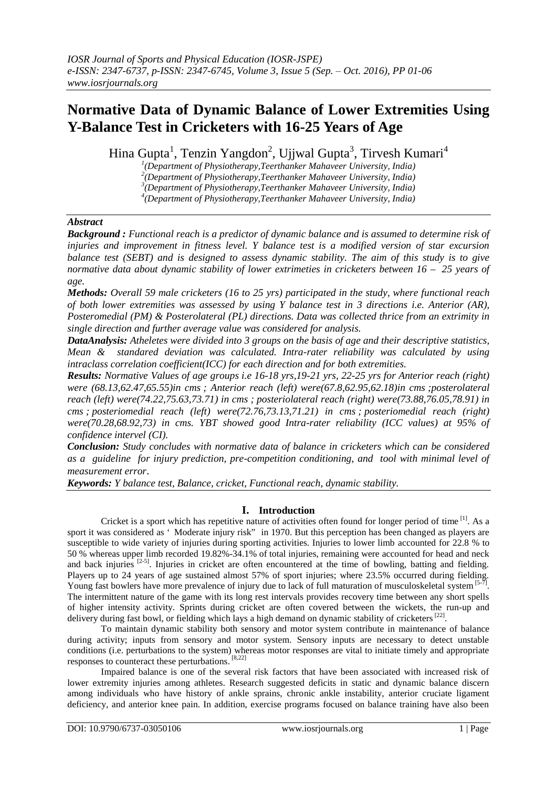# **Normative Data of Dynamic Balance of Lower Extremities Using Y-Balance Test in Cricketers with 16-25 Years of Age**

Hina Gupta<sup>1</sup>, Tenzin Yangdon<sup>2</sup>, Ujjwal Gupta<sup>3</sup>, Tirvesh Kumari<sup>4</sup>

 *(Department of Physiotherapy,Teerthanker Mahaveer University, India) (Department of Physiotherapy,Teerthanker Mahaveer University, India) (Department of Physiotherapy,Teerthanker Mahaveer University, India) (Department of Physiotherapy,Teerthanker Mahaveer University, India)*

# *Abstract*

*Background : Functional reach is a predictor of dynamic balance and is assumed to determine risk of injuries and improvement in fitness level. Y balance test is a modified version of star excursion balance test (SEBT) and is designed to assess dynamic stability. The aim of this study is to give normative data about dynamic stability of lower extrimeties in cricketers between 16 – 25 years of age.*

*Methods: Overall 59 male cricketers (16 to 25 yrs) participated in the study, where functional reach of both lower extremities was assessed by using Y balance test in 3 directions i.e. Anterior (AR), Posteromedial (PM) & Posterolateral (PL) directions. Data was collected thrice from an extrimity in single direction and further average value was considered for analysis.*

*DataAnalysis: Atheletes were divided into 3 groups on the basis of age and their descriptive statistics, Mean & standared deviation was calculated. Intra-rater reliability was calculated by using intraclass correlation coefficient(ICC) for each direction and for both extremities.*

*Results: Normative Values of age groups i.e 16-18 yrs,19-21 yrs, 22-25 yrs for Anterior reach (right) were (68.13,62.47,65.55)in cms ; Anterior reach (left) were(67.8,62.95,62.18)in cms ;posterolateral reach (left) were(74.22,75.63,73.71) in cms ; posteriolateral reach (right) were(73.88,76.05,78.91) in cms ; posteriomedial reach (left) were(72.76,73.13,71.21) in cms ; posteriomedial reach (right) were(70.28,68.92,73) in cms. YBT showed good Intra-rater reliability (ICC values) at 95% of confidence intervel (CI).* 

*Conclusion: Study concludes with normative data of balance in cricketers which can be considered as a guideline for injury prediction, pre-competition conditioning, and tool with minimal level of measurement error*.

*Keywords: Y balance test, Balance, cricket, Functional reach, dynamic stability.*

# **I. Introduction**

Cricket is a sport which has repetitive nature of activities often found for longer period of time <sup>[1]</sup>. As a sport it was considered as 'Moderate injury risk" in 1970. But this perception has been changed as players are susceptible to wide variety of injuries during sporting activities. Injuries to lower limb accounted for 22.8 % to 50 % whereas upper limb recorded 19.82%-34.1% of total injuries, remaining were accounted for head and neck and back injuries  $[2-5]$ . Injuries in cricket are often encountered at the time of bowling, batting and fielding. Players up to 24 years of age sustained almost 57% of sport injuries; where 23.5% occurred during fielding. Young fast bowlers have more prevalence of injury due to lack of full maturation of musculoskeletal system [5-7]. The intermittent nature of the game with its long rest intervals provides recovery time between any short spells of higher intensity activity. Sprints during cricket are often covered between the wickets, the run-up and delivery during fast bowl, or fielding which lays a high demand on dynamic stability of cricketers<sup>[22]</sup>.

To maintain dynamic stability both sensory and motor system contribute in maintenance of balance during activity; inputs from sensory and motor system. Sensory inputs are necessary to detect unstable conditions (i.e. perturbations to the system) whereas motor responses are vital to initiate timely and appropriate responses to counteract these perturbations. [8,22]

Impaired balance is one of the several risk factors that have been associated with increased risk of lower extremity injuries among athletes. Research suggested deficits in static and dynamic balance discern among individuals who have history of ankle sprains, chronic ankle instability, anterior cruciate ligament deficiency, and anterior knee pain. In addition, exercise programs focused on balance training have also been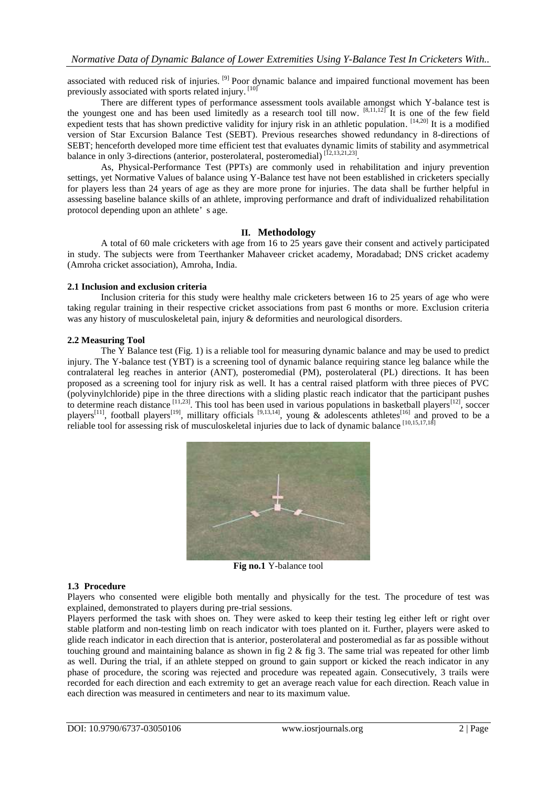associated with reduced risk of injuries. [9] Poor dynamic balance and impaired functional movement has been previously associated with sports related injury. [10]

There are different types of performance assessment tools available amongst which Y-balance test is the youngest one and has been used limitedly as a research tool till now.  $[8,11,12]$  It is one of the few field expedient tests that has shown predictive validity for injury risk in an athletic population. [14,20] It is a modified version of Star Excursion Balance Test (SEBT). Previous researches showed redundancy in 8-directions of SEBT; henceforth developed more time efficient test that evaluates dynamic limits of stability and asymmetrical balance in only 3-directions (anterior, posterolateral, posteromedial)<sup>[12,13,21,23]</sup>.

As, Physical-Performance Test (PPTs) are commonly used in rehabilitation and injury prevention settings, yet Normative Values of balance using Y-Balance test have not been established in cricketers specially for players less than 24 years of age as they are more prone for injuries. The data shall be further helpful in assessing baseline balance skills of an athlete, improving performance and draft of individualized rehabilitation protocol depending upon an athlete' s age.

## **II. Methodology**

A total of 60 male cricketers with age from 16 to 25 years gave their consent and actively participated in study. The subjects were from Teerthanker Mahaveer cricket academy, Moradabad; DNS cricket academy (Amroha cricket association), Amroha, India.

### **2.1 Inclusion and exclusion criteria**

Inclusion criteria for this study were healthy male cricketers between 16 to 25 years of age who were taking regular training in their respective cricket associations from past 6 months or more. Exclusion criteria was any history of musculoskeletal pain, injury & deformities and neurological disorders.

#### **2.2 Measuring Tool**

The Y Balance test (Fig. 1) is a reliable tool for measuring dynamic balance and may be used to predict injury. The Y-balance test (YBT) is a screening tool of dynamic balance requiring stance leg balance while the contralateral leg reaches in anterior (ANT), posteromedial (PM), posterolateral (PL) directions. It has been proposed as a screening tool for injury risk as well. It has a central raised platform with three pieces of PVC (polyvinylchloride) pipe in the three directions with a sliding plastic reach indicator that the participant pushes to determine reach distance  $^{[11,23]}$ . This tool has been used in various populations in basketball players  $^{[12]}$ , soccer players<sup>[11]</sup>, football players<sup>[19]</sup>, millitary officials <sup>[9,13,14]</sup>, young & adolescents athletes<sup>[16]</sup> and proved to be a reliable tool for assessing risk of musculoskeletal injuries due to lack of dynamic balance [10,15,17,18]



**Fig no.1** Y-balance tool

#### **1.3 Procedure**

Players who consented were eligible both mentally and physically for the test. The procedure of test was explained, demonstrated to players during pre-trial sessions.

Players performed the task with shoes on. They were asked to keep their testing leg either left or right over stable platform and non-testing limb on reach indicator with toes planted on it. Further, players were asked to glide reach indicator in each direction that is anterior, posterolateral and posteromedial as far as possible without touching ground and maintaining balance as shown in fig 2  $\&$  fig 3. The same trial was repeated for other limb as well. During the trial, if an athlete stepped on ground to gain support or kicked the reach indicator in any phase of procedure, the scoring was rejected and procedure was repeated again. Consecutively, 3 trails were recorded for each direction and each extremity to get an average reach value for each direction. Reach value in each direction was measured in centimeters and near to its maximum value.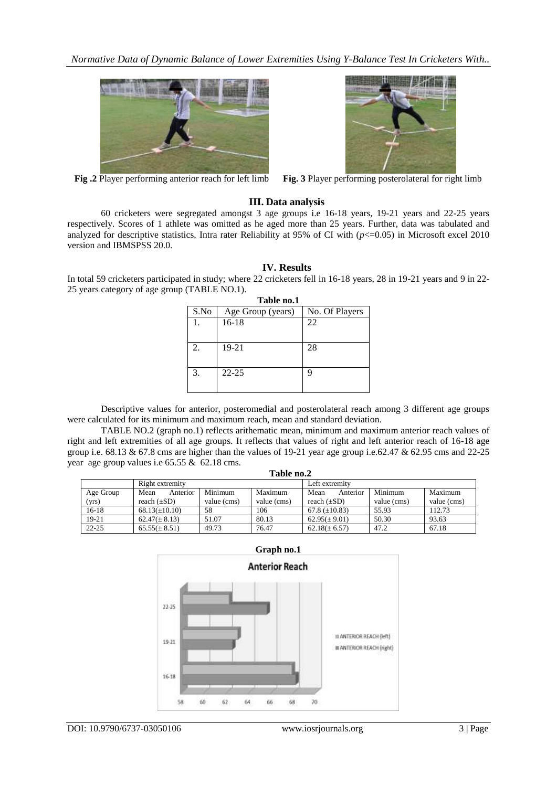

**Fig.2** Player performing anterior reach for left limb



**Fig.** 3 Player performing posterolateral for right limb

# **III. Data analysis**

60 cricketers were segregated amongst 3 age groups i.e 16-18 years, 19-21 years and 22-25 years respectively. Scores of 1 athlete was omitted as he aged more than 25 years. Further, data was tabulated and analyzed for descriptive statistics, Intra rater Reliability at 95% of CI with  $(p<=0.05)$  in Microsoft excel 2010 version and IBMSPSS 20.0.

## **IV. Results**

In total 59 cricketers participated in study; where 22 cricketers fell in 16-18 years, 28 in 19-21 years and 9 in 22- 25 years category of age group (TABLE NO.1).

| Table no.1 |                   |                |  |  |  |
|------------|-------------------|----------------|--|--|--|
| S.No       | Age Group (years) | No. Of Players |  |  |  |
|            | $16-18$           | 22             |  |  |  |
|            |                   |                |  |  |  |
| 2.         | 19-21             | 28             |  |  |  |
|            |                   |                |  |  |  |
| 3.         | $22 - 25$         | q              |  |  |  |
|            |                   |                |  |  |  |

Descriptive values for anterior, posteromedial and posterolateral reach among 3 different age groups were calculated for its minimum and maximum reach, mean and standard deviation.

TABLE NO.2 (graph no.1) reflects arithematic mean, minimum and maximum anterior reach values of right and left extremities of all age groups. It reflects that values of right and left anterior reach of 16-18 age group i.e. 68.13 & 67.8 cms are higher than the values of 19-21 year age group i.e.62.47 & 62.95 cms and 22-25 year age group values i.e 65.55 & 62.18 cms.

| Table no.2 |                    |             |             |                    |             |             |
|------------|--------------------|-------------|-------------|--------------------|-------------|-------------|
|            | Right extremity    |             |             | Left extremity     |             |             |
| Age Group  | Anterior<br>Mean   | Minimum     | Maximum     | Mean<br>Anterior   | Minimum     | Maximum     |
| (yrs)      | reach $(\pm SD)$   | value (cms) | value (cms) | reach $(\pm SD)$   | value (cms) | value (cms) |
| $16-18$    | $68.13(\pm 10.10)$ | 58          | 106         | 67.8 $(\pm 10.83)$ | 55.93       | 112.73      |
| 19-21      | $62.47(\pm 8.13)$  | 51.07       | 80.13       | $62.95(\pm 9.01)$  | 50.30       | 93.63       |
| $22 - 25$  | $65.55(\pm 8.51)$  | 49.73       | 76.47       | $62.18(\pm 6.57)$  | 47.2        | 67.18       |

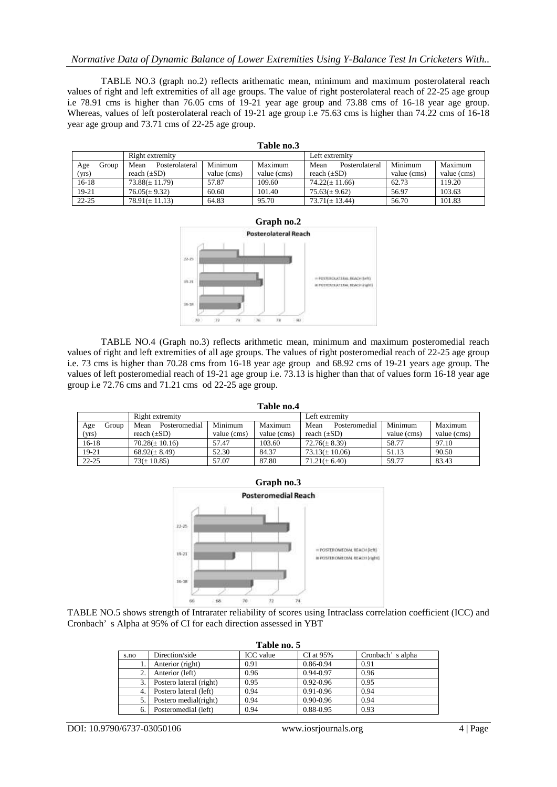## *Normative Data of Dynamic Balance of Lower Extremities Using Y-Balance Test In Cricketers With..*

TABLE NO.3 (graph no.2) reflects arithematic mean, minimum and maximum posterolateral reach values of right and left extremities of all age groups. The value of right posterolateral reach of 22-25 age group i.e 78.91 cms is higher than 76.05 cms of 19-21 year age group and 73.88 cms of 16-18 year age group. Whereas, values of left posterolateral reach of 19-21 age group i.e 75.63 cms is higher than 74.22 cms of 16-18 year age group and 73.71 cms of 22-25 age group.

| Table no.3 |                 |                        |             |                |                        |             |             |
|------------|-----------------|------------------------|-------------|----------------|------------------------|-------------|-------------|
|            | Right extremity |                        |             | Left extremity |                        |             |             |
| Age        | Group           | Mean<br>Posterolateral | Minimum     | Maximum        | Mean<br>Posterolateral | Minimum     | Maximum     |
| (yrs)      |                 | reach $(\pm SD)$       | value (cms) | value (cms)    | reach $(\pm SD)$       | value (cms) | value (cms) |
| $16-18$    |                 | $73.88(\pm 11.79)$     | 57.87       | 109.60         | $74.22(\pm 11.66)$     | 62.73       | 119.20      |
| 19-21      |                 | $76.05(\pm 9.32)$      | 60.60       | 101.40         | $75.63(\pm 9.62)$      | 56.97       | 103.63      |
| $22 - 25$  |                 | $78.91(\pm 11.13)$     | 64.83       | 95.70          | $73.71(\pm 13.44)$     | 56.70       | 101.83      |



TABLE NO.4 (Graph no.3) reflects arithmetic mean, minimum and maximum posteromedial reach values of right and left extremities of all age groups. The values of right posteromedial reach of 22-25 age group i.e. 73 cms is higher than 70.28 cms from 16-18 year age group and 68.92 cms of 19-21 years age group. The values of left posteromedial reach of 19-21 age group i.e. 73.13 is higher than that of values form 16-18 year age group i.e 72.76 cms and 71.21 cms od 22-25 age group.

| Table no.4   |                       |             |             |                       |             |             |
|--------------|-----------------------|-------------|-------------|-----------------------|-------------|-------------|
|              | Right extremity       |             |             | Left extremity        |             |             |
| Group<br>Age | Posteromedial<br>Mean | Minimum     | Maximum     | Mean<br>Posteromedial | Minimum     | Maximum     |
| (yrs)        | reach $(\pm SD)$      | value (cms) | value (cms) | reach $(\pm SD)$      | value (cms) | value (cms) |
| $16-18$      | $70.28(\pm 10.16)$    | 57.47       | 103.60      | $72.76(\pm 8.39)$     | 58.77       | 97.10       |
| 19-21        | $68.92(\pm 8.49)$     | 52.30       | 84.37       | $73.13(\pm 10.06)$    | 51.13       | 90.50       |
| $22 - 25$    | $73(\pm 10.85)$       | 57.07       | 87.80       | $71.21(\pm 6.40)$     | 59.77       | 83.43       |



TABLE NO.5 shows strength of Intrarater reliability of scores using Intraclass correlation coefficient (ICC) and Cronbach' s Alpha at 95% of CI for each direction assessed in YBT

| Table no. 5 |                         |                  |               |                  |  |  |  |
|-------------|-------------------------|------------------|---------------|------------------|--|--|--|
| s.no        | Direction/side          | <b>ICC</b> value | $CI$ at $95%$ | Cronbach's alpha |  |  |  |
|             | Anterior (right)        | 0.91             | 0.86-0.94     | 0.91             |  |  |  |
| 2.          | Anterior (left)         | 0.96             | $0.94 - 0.97$ | 0.96             |  |  |  |
| 3.          | Postero lateral (right) | 0.95             | $0.92 - 0.96$ | 0.95             |  |  |  |
| 4.          | Postero lateral (left)  | 0.94             | 0.91-0.96     | 0.94             |  |  |  |
|             | Postero medial(right)   | 0.94             | $0.90 - 0.96$ | 0.94             |  |  |  |
| 6.          | Posteromedial (left)    | 0.94             | 0.88-0.95     | 0.93             |  |  |  |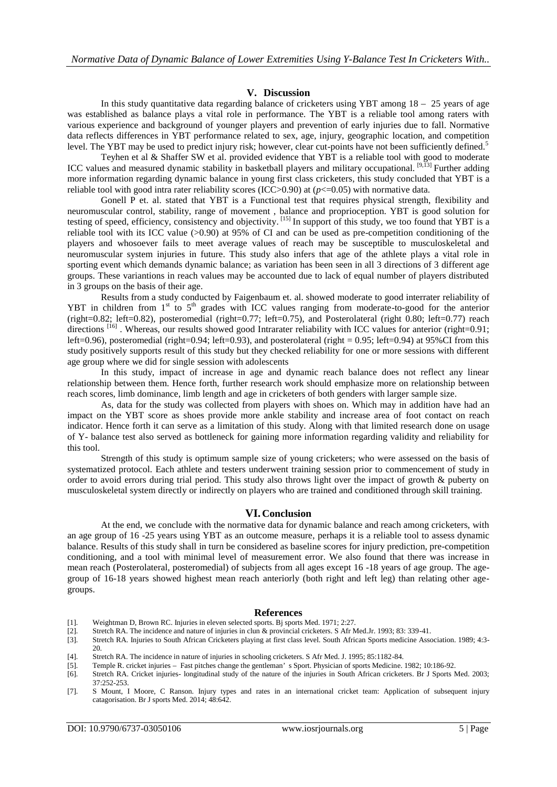## **V. Discussion**

In this study quantitative data regarding balance of cricketers using YBT among  $18 - 25$  years of age was established as balance plays a vital role in performance. The YBT is a reliable tool among raters with various experience and background of younger players and prevention of early injuries due to fall. Normative data reflects differences in YBT performance related to sex, age, injury, geographic location, and competition level. The YBT may be used to predict injury risk; however, clear cut-points have not been sufficiently defined.<sup>5</sup>

Teyhen et al & Shaffer SW et al. provided evidence that YBT is a reliable tool with good to moderate ICC values and measured dynamic stability in basketball players and military occupational.  $[9,13]$  Further adding more information regarding dynamic balance in young first class cricketers, this study concluded that YBT is a reliable tool with good intra rater reliability scores (ICC>0.90) at  $(p \le 0.05)$  with normative data.

Gonell P et. al. stated that YBT is a Functional test that requires physical strength, flexibility and neuromuscular control, stability, range of movement , balance and proprioception. YBT is good solution for testing of speed, efficiency, consistency and objectivity. [15] In support of this study, we too found that YBT is a reliable tool with its ICC value (>0.90) at 95% of CI and can be used as pre-competition conditioning of the players and whosoever fails to meet average values of reach may be susceptible to musculoskeletal and neuromuscular system injuries in future. This study also infers that age of the athlete plays a vital role in sporting event which demands dynamic balance; as variation has been seen in all 3 directions of 3 different age groups. These variantions in reach values may be accounted due to lack of equal number of players distributed in 3 groups on the basis of their age.

Results from a study conducted by Faigenbaum et. al. showed moderate to good interrater reliability of YBT in children from 1<sup>st</sup> to 5<sup>th</sup> grades with ICC values ranging from moderate-to-good for the anterior (right=0.82; left=0.82), posteromedial (right=0.77; left=0.75), and Posterolateral (right 0.80; left=0.77) reach directions <sup>[16]</sup>. Whereas, our results showed good Intrarater reliability with ICC values for anterior (right=0.91; left=0.96), posteromedial (right=0.94; left=0.93), and posterolateral (right = 0.95; left=0.94) at 95%CI from this study positively supports result of this study but they checked reliability for one or more sessions with different age group where we did for single session with adolescents

In this study, impact of increase in age and dynamic reach balance does not reflect any linear relationship between them. Hence forth, further research work should emphasize more on relationship between reach scores, limb dominance, limb length and age in cricketers of both genders with larger sample size.

As, data for the study was collected from players with shoes on. Which may in addition have had an impact on the YBT score as shoes provide more ankle stability and increase area of foot contact on reach indicator. Hence forth it can serve as a limitation of this study. Along with that limited research done on usage of Y- balance test also served as bottleneck for gaining more information regarding validity and reliability for this tool.

Strength of this study is optimum sample size of young cricketers; who were assessed on the basis of systematized protocol. Each athlete and testers underwent training session prior to commencement of study in order to avoid errors during trial period. This study also throws light over the impact of growth & puberty on musculoskeletal system directly or indirectly on players who are trained and conditioned through skill training.

## **VI. Conclusion**

At the end, we conclude with the normative data for dynamic balance and reach among cricketers, with an age group of 16 -25 years using YBT as an outcome measure, perhaps it is a reliable tool to assess dynamic balance. Results of this study shall in turn be considered as baseline scores for injury prediction, pre-competition conditioning, and a tool with minimal level of measurement error. We also found that there was increase in mean reach (Posterolateral, posteromedial) of subjects from all ages except 16 -18 years of age group. The agegroup of 16-18 years showed highest mean reach anteriorly (both right and left leg) than relating other agegroups.

#### **References**

- [1]. Weightman D, Brown RC. Injuries in eleven selected sports. Bj sports Med. 1971; 2:27.
- [2]. Stretch RA. The incidence and nature of injuries in clun & provincial cricketers. S Afr Med.Jr. 1993; 83: 339-41.
- [3]. Stretch RA. Injuries to South African Cricketers playing at first class level. South African Sports medicine Association. 1989; 4:3- 20.
- [4]. Stretch RA. The incidence in nature of injuries in schooling cricketers. S Afr Med. J. 1995; 85:1182-84.
- [5]. Temple R. cricket injuries Fast pitches change the gentleman' s Sport. Physician of sports Medicine. 1982; 10:186-92.
- [6]. Stretch RA. Cricket injuries- longitudinal study of the nature of the injuries in South African cricketers. Br J Sports Med. 2003; 37:252-253.
- [7]. S Mount, I Moore, C Ranson. Injury types and rates in an international cricket team: Application of subsequent injury catagorisation. Br J sports Med. 2014; 48:642.